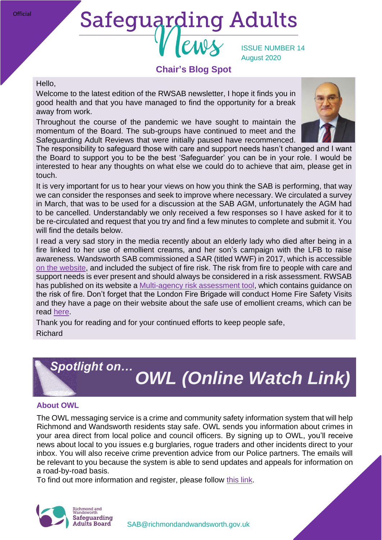# **Safeguarding Adults**

ISSUE NUMBER 14 August 2020

## **Chair's Blog Spot**

Hello,

**Official** 

Welcome to the latest edition of the RWSAB newsletter, I hope it finds you in good health and that you have managed to find the opportunity for a break away from work.

Throughout the course of the pandemic we have sought to maintain the momentum of the Board. The sub-groups have continued to meet and the Safeguarding Adult Reviews that were initially paused have recommenced.



The responsibility to safeguard those with care and support needs hasn't changed and I want the Board to support you to be the best 'Safeguarder' you can be in your role. I would be interested to hear any thoughts on what else we could do to achieve that aim, please get in touch.

It is very important for us to hear your views on how you think the SAB is performing, that way we can consider the responses and seek to improve where necessary. We circulated a survey in March, that was to be used for a discussion at the SAB AGM, unfortunately the AGM had to be cancelled. Understandably we only received a few responses so I have asked for it to be re-circulated and request that you try and find a few minutes to complete and submit it. You will find the details below.

I read a very sad story in the media recently about an elderly lady who died after being in a fire linked to her use of emollient creams, and her son's campaign with the LFB to raise awareness. Wandsworth SAB commissioned a SAR (titled WWF) in 2017, which is accessible [on the website,](https://www.richmond.gov.uk/media/16627/sar_report_mrs_wwf_july_2017.pdf) and included the subject of fire risk. The risk from fire to people with care and support needs is ever present and should always be considered in a risk assessment. RWSAB has published on its website a [Multi-agency risk assessment tool,](https://www.richmond.gov.uk/media/17626/multi_agency_risk_assessment_framework.pdf) which contains guidance on the risk of fire. Don't forget that the London Fire Brigade will conduct Home Fire Safety Visits and they have a page on their website about the safe use of emollient creams, which can be read [here.](https://www.london-fire.gov.uk/safety/carers-and-support-workers/emollient-creams/)

Thank you for reading and for your continued efforts to keep people safe, Richard



#### **About OWL**

The OWL messaging service is a crime and community safety information system that will help Richmond and Wandsworth residents stay safe. OWL sends you information about crimes in your area direct from local police and council officers. By signing up to OWL, you'll receive news about local to you issues e.g burglaries, rogue traders and other incidents direct to your inbox. You will also receive crime prevention advice from our Police partners. The emails will be relevant to you because the system is able to send updates and appeals for information on a road-by-road basis.

To find out more information and register, please follow [this link.](https://www.owl.co.uk/met/)

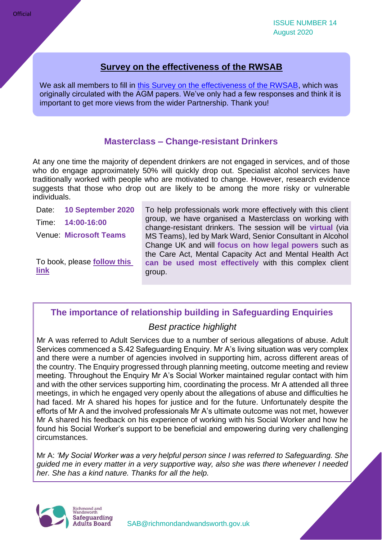# **Survey on the effectiveness of the RWSAB**

We ask all members to fill in [this Survey on the effectiveness of the RWSAB,](https://www.smartsurvey.co.uk/s/IMON3F/) which was originally circulated with the AGM papers. We've only had a few responses and think it is important to get more views from the wider Partnership. Thank you!

# **Masterclass – Change-resistant Drinkers**

At any one time the majority of dependent drinkers are not engaged in services, and of those who do engage approximately 50% will quickly drop out. Specialist alcohol services have traditionally worked with people who are motivated to change. However, research evidence suggests that those who drop out are likely to be among the more risky or vulnerable individuals.

Date: **10 September 2020** Time: **14:00-16:00** Venue: **Microsoft Teams** To book, please **[follow this](https://www.eventbrite.co.uk/e/rwsab-virtual-masterclass-change-resistant-drinkers-tickets-115846509027)  [link](https://www.eventbrite.co.uk/e/rwsab-virtual-masterclass-change-resistant-drinkers-tickets-115846509027)**

To help professionals work more effectively with this client group, we have organised a Masterclass on working with change-resistant drinkers. The session will be **virtual** (via MS Teams), led by Mark Ward, Senior Consultant in Alcohol Change UK and will **focus on how legal powers** such as the Care Act, Mental Capacity Act and Mental Health Act **can be used most effectively** with this complex client group.

# **The importance of relationship building in Safeguarding Enquiries**

### *Best practice highlight*

Mr A was referred to Adult Services due to a number of serious allegations of abuse. Adult Services commenced a S.42 Safeguarding Enquiry. Mr A's living situation was very complex and there were a number of agencies involved in supporting him, across different areas of the country. The Enquiry progressed through planning meeting, outcome meeting and review meeting. Throughout the Enquiry Mr A's Social Worker maintained regular contact with him and with the other services supporting him, coordinating the process. Mr A attended all three meetings, in which he engaged very openly about the allegations of abuse and difficulties he had faced. Mr A shared his hopes for justice and for the future. Unfortunately despite the efforts of Mr A and the involved professionals Mr A's ultimate outcome was not met, however Mr A shared his feedback on his experience of working with his Social Worker and how he found his Social Worker's support to be beneficial and empowering during very challenging circumstances.

Mr A: *'My Social Worker was a very helpful person since I was referred to Safeguarding. She guided me in every matter in a very supportive way, also she was there whenever I needed her. She has a kind nature. Thanks for all the help.*

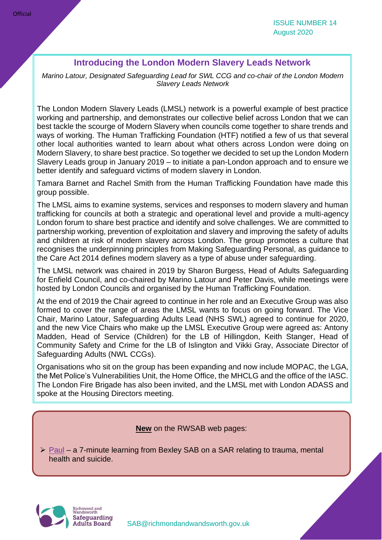#### **Introducing the London Modern Slavery Leads Network**

*Marino Latour, Designated Safeguarding Lead for SWL CCG and co-chair of the London Modern Slavery Leads Network*

The London Modern Slavery Leads (LMSL) network is a powerful example of best practice working and partnership, and demonstrates our collective belief across London that we can best tackle the scourge of Modern Slavery when councils come together to share trends and ways of working. The Human Trafficking Foundation (HTF) notified a few of us that several other local authorities wanted to learn about what others across London were doing on Modern Slavery, to share best practice. So together we decided to set up the London Modern Slavery Leads group in January 2019 – to initiate a pan-London approach and to ensure we better identify and safeguard victims of modern slavery in London.

Tamara Barnet and Rachel Smith from the Human Trafficking Foundation have made this group possible.

The LMSL aims to examine systems, services and responses to modern slavery and human trafficking for councils at both a strategic and operational level and provide a multi-agency London forum to share best practice and identify and solve challenges. We are committed to partnership working, prevention of exploitation and slavery and improving the safety of adults and children at risk of modern slavery across London. The group promotes a culture that recognises the underpinning principles from Making Safeguarding Personal, as guidance to the Care Act 2014 defines modern slavery as a type of abuse under safeguarding.

The LMSL network was chaired in 2019 by Sharon Burgess, Head of Adults Safeguarding for Enfield Council, and co-chaired by Marino Latour and Peter Davis, while meetings were hosted by London Councils and organised by the Human Trafficking Foundation.

At the end of 2019 the Chair agreed to continue in her role and an Executive Group was also formed to cover the range of areas the LMSL wants to focus on going forward. The Vice Chair, Marino Latour, Safeguarding Adults Lead (NHS SWL) agreed to continue for 2020, and the new Vice Chairs who make up the LMSL Executive Group were agreed as: Antony Madden, Head of Service (Children) for the LB of Hillingdon, Keith Stanger, Head of Community Safety and Crime for the LB of Islington and Vikki Gray, Associate Director of Safeguarding Adults (NWL CCGs).

Organisations who sit on the group has been expanding and now include MOPAC, the LGA, the Met Police's Vulnerabilities Unit, the Home Office, the MHCLG and the office of the IASC. The London Fire Brigade has also been invited, and the LMSL met with London ADASS and spoke at the Housing Directors meeting.

**New** on the RWSAB web pages:

➢ [Paul](https://www.richmond.gov.uk/media/19575/bexley_sar_paul_march_2020.pdf) – a 7-minute learning from Bexley SAB on a SAR relating to trauma, mental health and suicide.